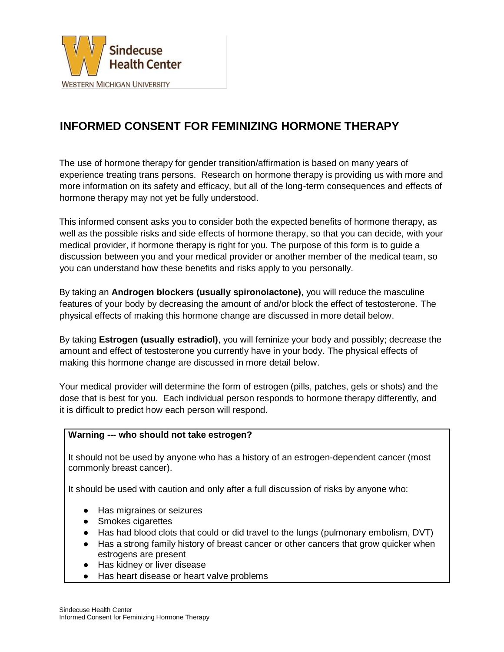

# **INFORMED CONSENT FOR FEMINIZING HORMONE THERAPY**

The use of hormone therapy for gender transition/affirmation is based on many years of experience treating trans persons. Research on hormone therapy is providing us with more and more information on its safety and efficacy, but all of the long-term consequences and effects of hormone therapy may not yet be fully understood.

This informed consent asks you to consider both the expected benefits of hormone therapy, as well as the possible risks and side effects of hormone therapy, so that you can decide, with your medical provider, if hormone therapy is right for you. The purpose of this form is to guide a discussion between you and your medical provider or another member of the medical team, so you can understand how these benefits and risks apply to you personally.

By taking an **Androgen blockers (usually spironolactone)**, you will reduce the masculine features of your body by decreasing the amount of and/or block the effect of testosterone. The physical effects of making this hormone change are discussed in more detail below.

By taking **Estrogen (usually estradiol)**, you will feminize your body and possibly; decrease the amount and effect of testosterone you currently have in your body. The physical effects of making this hormone change are discussed in more detail below.

Your medical provider will determine the form of estrogen (pills, patches, gels or shots) and the dose that is best for you. Each individual person responds to hormone therapy differently, and it is difficult to predict how each person will respond.

#### **Warning --- who should not take estrogen?**

It should not be used by anyone who has a history of an estrogen-dependent cancer (most commonly breast cancer).

It should be used with caution and only after a full discussion of risks by anyone who:

- Has migraines or seizures
- Smokes cigarettes
- Has had blood clots that could or did travel to the lungs (pulmonary embolism, DVT)
- Has a strong family history of breast cancer or other cancers that grow quicker when estrogens are present
- Has kidney or liver disease
- Has heart disease or heart valve problems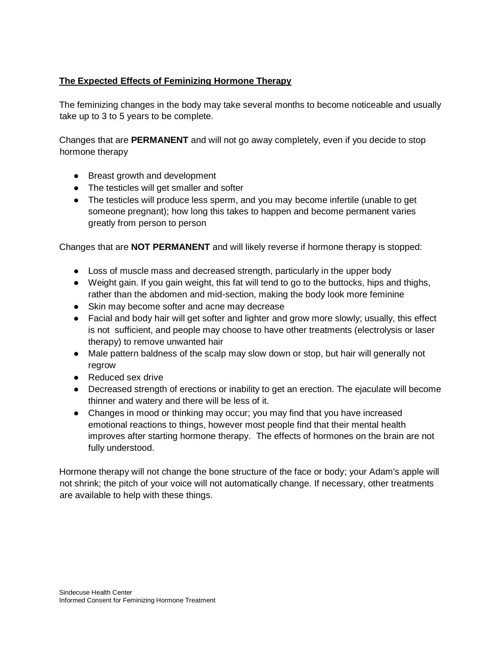## **The Expected Effects of Feminizing Hormone Therapy**

The feminizing changes in the body may take several months to become noticeable and usually take up to 3 to 5 years to be complete.

Changes that are **PERMANENT** and will not go away completely, even if you decide to stop hormone therapy

- Breast growth and development
- The testicles will get smaller and softer
- The testicles will produce less sperm, and you may become infertile (unable to get someone pregnant); how long this takes to happen and become permanent varies greatly from person to person

Changes that are **NOT PERMANENT** and will likely reverse if hormone therapy is stopped:

- Loss of muscle mass and decreased strength, particularly in the upper body
- Weight gain. If you gain weight, this fat will tend to go to the buttocks, hips and thighs, rather than the abdomen and mid-section, making the body look more feminine
- Skin may become softer and acne may decrease
- Facial and body hair will get softer and lighter and grow more slowly; usually, this effect is not sufficient, and people may choose to have other treatments (electrolysis or laser therapy) to remove unwanted hair
- Male pattern baldness of the scalp may slow down or stop, but hair will generally not regrow
- Reduced sex drive
- Decreased strength of erections or inability to get an erection. The ejaculate will become thinner and watery and there will be less of it.
- Changes in mood or thinking may occur; you may find that you have increased emotional reactions to things, however most people find that their mental health improves after starting hormone therapy. The effects of hormones on the brain are not fully understood.

Hormone therapy will not change the bone structure of the face or body; your Adam's apple will not shrink; the pitch of your voice will not automatically change. If necessary, other treatments are available to help with these things.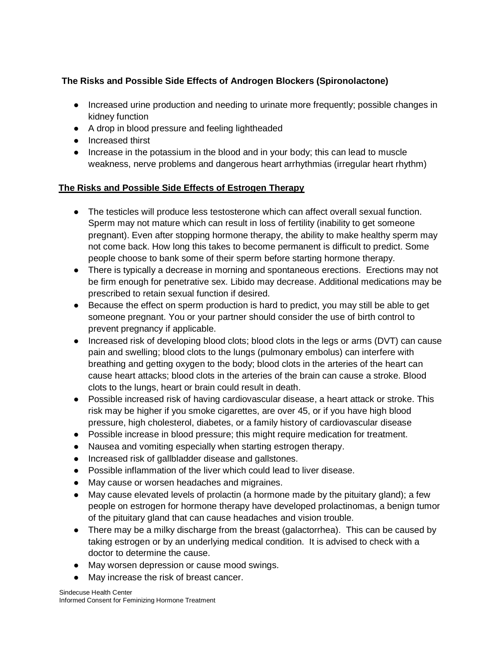# **The Risks and Possible Side Effects of Androgen Blockers (Spironolactone)**

- Increased urine production and needing to urinate more frequently; possible changes in kidney function
- A drop in blood pressure and feeling lightheaded
- Increased thirst
- Increase in the potassium in the blood and in your body; this can lead to muscle weakness, nerve problems and dangerous heart arrhythmias (irregular heart rhythm)

### **The Risks and Possible Side Effects of Estrogen Therapy**

- The testicles will produce less testosterone which can affect overall sexual function. Sperm may not mature which can result in loss of fertility (inability to get someone pregnant). Even after stopping hormone therapy, the ability to make healthy sperm may not come back. How long this takes to become permanent is difficult to predict. Some people choose to bank some of their sperm before starting hormone therapy.
- There is typically a decrease in morning and spontaneous erections. Erections may not be firm enough for penetrative sex. Libido may decrease. Additional medications may be prescribed to retain sexual function if desired.
- Because the effect on sperm production is hard to predict, you may still be able to get someone pregnant. You or your partner should consider the use of birth control to prevent pregnancy if applicable.
- Increased risk of developing blood clots; blood clots in the legs or arms (DVT) can cause pain and swelling; blood clots to the lungs (pulmonary embolus) can interfere with breathing and getting oxygen to the body; blood clots in the arteries of the heart can cause heart attacks; blood clots in the arteries of the brain can cause a stroke. Blood clots to the lungs, heart or brain could result in death.
- Possible increased risk of having cardiovascular disease, a heart attack or stroke. This risk may be higher if you smoke cigarettes, are over 45, or if you have high blood pressure, high cholesterol, diabetes, or a family history of cardiovascular disease
- Possible increase in blood pressure; this might require medication for treatment.
- Nausea and vomiting especially when starting estrogen therapy.
- Increased risk of gallbladder disease and gallstones.
- Possible inflammation of the liver which could lead to liver disease.
- May cause or worsen headaches and migraines.
- May cause elevated levels of prolactin (a hormone made by the pituitary gland); a few people on estrogen for hormone therapy have developed prolactinomas, a benign tumor of the pituitary gland that can cause headaches and vision trouble.
- There may be a milky discharge from the breast (galactorrhea). This can be caused by taking estrogen or by an underlying medical condition. It is advised to check with a doctor to determine the cause.
- May worsen depression or cause mood swings.
- May increase the risk of breast cancer.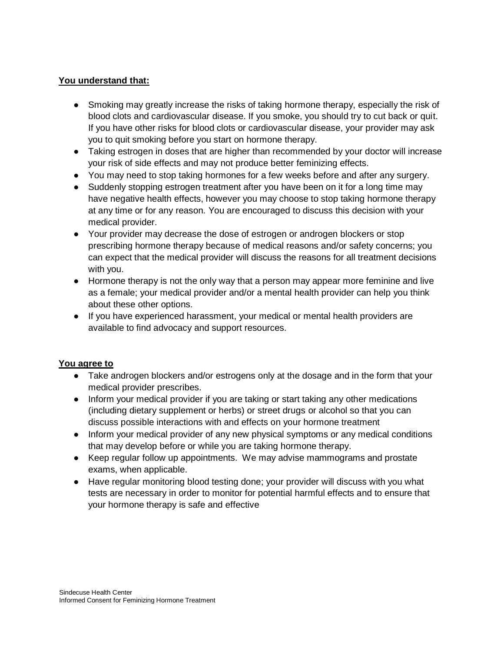#### **You understand that:**

- Smoking may greatly increase the risks of taking hormone therapy, especially the risk of blood clots and cardiovascular disease. If you smoke, you should try to cut back or quit. If you have other risks for blood clots or cardiovascular disease, your provider may ask you to quit smoking before you start on hormone therapy.
- Taking estrogen in doses that are higher than recommended by your doctor will increase your risk of side effects and may not produce better feminizing effects.
- You may need to stop taking hormones for a few weeks before and after any surgery.
- Suddenly stopping estrogen treatment after you have been on it for a long time may have negative health effects, however you may choose to stop taking hormone therapy at any time or for any reason. You are encouraged to discuss this decision with your medical provider.
- Your provider may decrease the dose of estrogen or androgen blockers or stop prescribing hormone therapy because of medical reasons and/or safety concerns; you can expect that the medical provider will discuss the reasons for all treatment decisions with you.
- Hormone therapy is not the only way that a person may appear more feminine and live as a female; your medical provider and/or a mental health provider can help you think about these other options.
- If you have experienced harassment, your medical or mental health providers are available to find advocacy and support resources.

### **You agree to**

- Take androgen blockers and/or estrogens only at the dosage and in the form that your medical provider prescribes.
- Inform your medical provider if you are taking or start taking any other medications (including dietary supplement or herbs) or street drugs or alcohol so that you can discuss possible interactions with and effects on your hormone treatment
- Inform your medical provider of any new physical symptoms or any medical conditions that may develop before or while you are taking hormone therapy.
- Keep regular follow up appointments. We may advise mammograms and prostate exams, when applicable.
- Have regular monitoring blood testing done; your provider will discuss with you what tests are necessary in order to monitor for potential harmful effects and to ensure that your hormone therapy is safe and effective